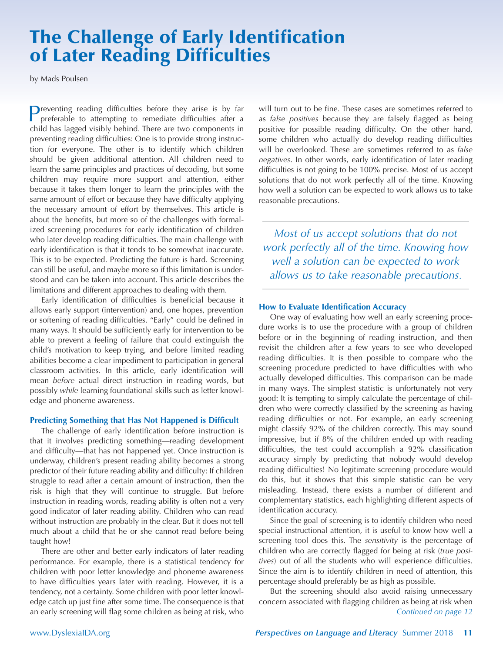# **The Challenge of Early Identification of Later Reading Difficulties**

by Mads Poulsen

Preventing reading difficulties before they arise is by far preferable to attempting to remediate difficulties after a child has lagged visibly behind. There are two components in preventing reading difficulties: One is to provide strong instruction for everyone. The other is to identify which children should be given additional attention. All children need to learn the same principles and practices of decoding, but some children may require more support and attention, either because it takes them longer to learn the principles with the same amount of effort or because they have difficulty applying the necessary amount of effort by themselves. This article is about the benefits, but more so of the challenges with formalized screening procedures for early identification of children who later develop reading difficulties. The main challenge with early identification is that it tends to be somewhat inaccurate. This is to be expected. Predicting the future is hard. Screening can still be useful, and maybe more so if this limitation is understood and can be taken into account. This article describes the limitations and different approaches to dealing with them.

Early identification of difficulties is beneficial because it allows early support (intervention) and, one hopes, prevention or softening of reading difficulties. "Early" could be defined in many ways. It should be sufficiently early for intervention to be able to prevent a feeling of failure that could extinguish the child's motivation to keep trying, and before limited reading abilities become a clear impediment to participation in general classroom activities. In this article, early identification will mean *before* actual direct instruction in reading words, but possibly *while* learning foundational skills such as letter knowledge and phoneme awareness.

#### **Predicting Something that Has Not Happened is Difficult**

The challenge of early identification before instruction is that it involves predicting something—reading development and difficulty—that has not happened yet. Once instruction is underway, children's present reading ability becomes a strong predictor of their future reading ability and difficulty: If children struggle to read after a certain amount of instruction, then the risk is high that they will continue to struggle. But before instruction in reading words, reading ability is often not a very good indicator of later reading ability. Children who can read without instruction are probably in the clear. But it does not tell much about a child that he or she cannot read before being taught how!

There are other and better early indicators of later reading performance. For example, there is a statistical tendency for children with poor letter knowledge and phoneme awareness to have difficulties years later with reading. However, it is a tendency, not a certainty. Some children with poor letter knowledge catch up just fine after some time. The consequence is that an early screening will flag some children as being at risk, who will turn out to be fine. These cases are sometimes referred to as *false positives* because they are falsely flagged as being positive for possible reading difficulty. On the other hand, some children who actually do develop reading difficulties will be overlooked. These are sometimes referred to as *false negatives*. In other words, early identification of later reading difficulties is not going to be 100% precise. Most of us accept solutions that do not work perfectly all of the time. Knowing how well a solution can be expected to work allows us to take reasonable precautions.

*Most of us accept solutions that do not work perfectly all of the time. Knowing how well a solution can be expected to work allows us to take reasonable precautions.*

#### **How to Evaluate Identification Accuracy**

One way of evaluating how well an early screening procedure works is to use the procedure with a group of children before or in the beginning of reading instruction, and then revisit the children after a few years to see who developed reading difficulties. It is then possible to compare who the screening procedure predicted to have difficulties with who actually developed difficulties. This comparison can be made in many ways. The simplest statistic is unfortunately not very good: It is tempting to simply calculate the percentage of children who were correctly classified by the screening as having reading difficulties or not. For example, an early screening might classify 92% of the children correctly. This may sound impressive, but if 8% of the children ended up with reading difficulties, the test could accomplish a 92% classification accuracy simply by predicting that nobody would develop reading difficulties! No legitimate screening procedure would do this, but it shows that this simple statistic can be very misleading. Instead, there exists a number of different and complementary statistics, each highlighting different aspects of identification accuracy.

Since the goal of screening is to identify children who need special instructional attention, it is useful to know how well a screening tool does this. The *sensitivity* is the percentage of children who are correctly flagged for being at risk (*true positives*) out of all the students who will experience difficulties. Since the aim is to identify children in need of attention, this percentage should preferably be as high as possible.

But the screening should also avoid raising unnecessary concern associated with flagging children as being at risk when *Continued on page 12*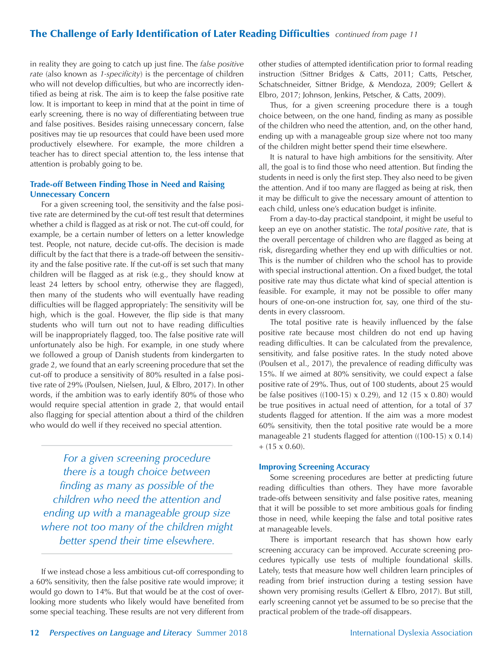### **The Challenge of Early Identification of Later Reading Difficulties** *continued from page 11*

in reality they are going to catch up just fine. The *false positive rate* (also known as *1-specificity*) is the percentage of children who will not develop difficulties, but who are incorrectly identified as being at risk. The aim is to keep the false positive rate low. It is important to keep in mind that at the point in time of early screening, there is no way of differentiating between true and false positives. Besides raising unnecessary concern, false positives may tie up resources that could have been used more productively elsewhere. For example, the more children a teacher has to direct special attention to, the less intense that attention is probably going to be.

#### **Trade-off Between Finding Those in Need and Raising Unnecessary Concern**

For a given screening tool, the sensitivity and the false positive rate are determined by the cut-off test result that determines whether a child is flagged as at risk or not. The cut-off could, for example, be a certain number of letters on a letter knowledge test. People, not nature, decide cut-offs. The decision is made difficult by the fact that there is a trade-off between the sensitivity and the false positive rate. If the cut-off is set such that many children will be flagged as at risk (e.g., they should know at least 24 letters by school entry, otherwise they are flagged), then many of the students who will eventually have reading difficulties will be flagged appropriately: The sensitivity will be high, which is the goal. However, the flip side is that many students who will turn out not to have reading difficulties will be inappropriately flagged, too. The false positive rate will unfortunately also be high. For example, in one study where we followed a group of Danish students from kindergarten to grade 2, we found that an early screening procedure that set the cut-off to produce a sensitivity of 80% resulted in a false positive rate of 29% (Poulsen, Nielsen, Juul, & Elbro, 2017). In other words, if the ambition was to early identify 80% of those who would require special attention in grade 2, that would entail also flagging for special attention about a third of the children who would do well if they received no special attention.

*For a given screening procedure there is a tough choice between finding as many as possible of the children who need the attention and ending up with a manageable group size where not too many of the children might better spend their time elsewhere.* 

If we instead chose a less ambitious cut-off corresponding to a 60% sensitivity, then the false positive rate would improve; it would go down to 14%. But that would be at the cost of overlooking more students who likely would have benefited from some special teaching. These results are not very different from other studies of attempted identification prior to formal reading instruction (Sittner Bridges & Catts, 2011; Catts, Petscher, Schatschneider, Sittner Bridge, & Mendoza, 2009; Gellert & Elbro, 2017; Johnson, Jenkins, Petscher, & Catts, 2009).

Thus, for a given screening procedure there is a tough choice between, on the one hand, finding as many as possible of the children who need the attention, and, on the other hand, ending up with a manageable group size where not too many of the children might better spend their time elsewhere.

It is natural to have high ambitions for the sensitivity. After all, the goal is to find those who need attention. But finding the students in need is only the first step. They also need to be given the attention. And if too many are flagged as being at risk, then it may be difficult to give the necessary amount of attention to each child, unless one's education budget is infinite.

From a day-to-day practical standpoint, it might be useful to keep an eye on another statistic. The *total positive rate*, that is the overall percentage of children who are flagged as being at risk, disregarding whether they end up with difficulties or not. This is the number of children who the school has to provide with special instructional attention. On a fixed budget, the total positive rate may thus dictate what kind of special attention is feasible. For example, it may not be possible to offer many hours of one-on-one instruction for, say, one third of the students in every classroom.

The total positive rate is heavily influenced by the false positive rate because most children do not end up having reading difficulties. It can be calculated from the prevalence, sensitivity, and false positive rates. In the study noted above (Poulsen et al., 2017), the prevalence of reading difficulty was 15%. If we aimed at 80% sensitivity, we could expect a false positive rate of 29%. Thus, out of 100 students, about 25 would be false positives ((100-15) x 0.29), and 12 (15 x 0.80) would be true positives in actual need of attention, for a total of 37 students flagged for attention. If the aim was a more modest 60% sensitivity, then the total positive rate would be a more manageable 21 students flagged for attention ((100-15) x 0.14)  $+ (15 \times 0.60).$ 

#### **Improving Screening Accuracy**

Some screening procedures are better at predicting future reading difficulties than others. They have more favorable trade-offs between sensitivity and false positive rates, meaning that it will be possible to set more ambitious goals for finding those in need, while keeping the false and total positive rates at manageable levels.

There is important research that has shown how early screening accuracy can be improved. Accurate screening procedures typically use tests of multiple foundational skills. Lately, tests that measure how well children learn principles of reading from brief instruction during a testing session have shown very promising results (Gellert & Elbro, 2017). But still, early screening cannot yet be assumed to be so precise that the practical problem of the trade-off disappears.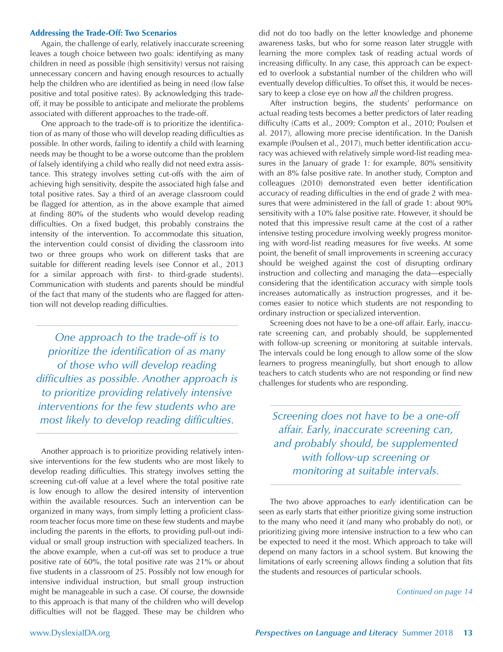#### **Addressing the Trade-Off: Two Scenarios**

Again, the challenge of early, relatively inaccurate screening leaves a tough choice between two goals: identifying as many children in need as possible (high sensitivity) versus not raising unnecessary concern and having enough resources to actually help the children who are identified as being in need (low false positive and total positive rates). By acknowledging this tradeoff, it may be possible to anticipate and meliorate the problems associated with different approaches to the trade-off.

One approach to the trade-off is to prioritize the identification of as many of those who will develop reading difficulties as possible. In other words, failing to identify a child with learning needs may be thought to be a worse outcome than the problem of falsely identifying a child who really did not need extra assistance. This strategy involves setting cut-offs with the aim of achieving high sensitivity, despite the associated high false and total positive rates. Say a third of an average classroom could be flagged for attention, as in the above example that aimed at finding 80% of the students who would develop reading difficulties. On a fixed budget, this probably constrains the intensity of the intervention. To accommodate this situation, the intervention could consist of dividing the classroom into two or three groups who work on different tasks that are suitable for different reading levels (see Connor et al., 2013 for a similar approach with first- to third-grade students). Communication with students and parents should be mindful of the fact that many of the students who are flagged for attention will not develop reading difficulties.

*One approach to the trade-off is to prioritize the identification of as many of those who will develop reading difficulties as possible. Another approach is to prioritize providing relatively intensive interventions for the few students who are most likely to develop reading difficulties.*

Another approach is to prioritize providing relatively intensive interventions for the few students who are most likely to develop reading difficulties. This strategy involves setting the screening cut-off value at a level where the total positive rate is low enough to allow the desired intensity of intervention within the available resources. Such an intervention can be organized in many ways, from simply letting a proficient classroom teacher focus more time on these few students and maybe including the parents in the efforts, to providing pull-out individual or small group instruction with specialized teachers. In the above example, when a cut-off was set to produce a true positive rate of 60%, the total positive rate was 21% or about five students in a classroom of 25. Possibly not low enough for intensive individual instruction, but small group instruction might be manageable in such a case. Of course, the downside to this approach is that many of the children who will develop difficulties will not be flagged. These may be children who did not do too badly on the letter knowledge and phoneme awareness tasks, but who for some reason later struggle with learning the more complex task of reading actual words of increasing difficulty. In any case, this approach can be expected to overlook a substantial number of the children who will eventually develop difficulties. To offset this, it would be necessary to keep a close eye on how *all* the children progress.

After instruction begins, the students' performance on actual reading tests becomes a better predictors of later reading difficulty (Catts et al., 2009; Compton et al., 2010; Poulsen et al. 2017), allowing more precise identification. In the Danish example (Poulsen et al., 2017), much better identification accuracy was achieved with relatively simple word-list reading measures in the January of grade 1: for example, 80% sensitivity with an 8% false positive rate. In another study, Compton and colleagues (2010) demonstrated even better identification accuracy of reading difficulties in the end of grade 2 with measures that were administered in the fall of grade 1: about 90% sensitivity with a 10% false positive rate. However, it should be noted that this impressive result came at the cost of a rather intensive testing procedure involving weekly progress monitoring with word-list reading measures for five weeks. At some point, the benefit of small improvements in screening accuracy should be weighed against the cost of disrupting ordinary instruction and collecting and managing the data—especially considering that the identification accuracy with simple tools increases automatically as instruction progresses, and it becomes easier to notice which students are not responding to ordinary instruction or specialized intervention.

Screening does not have to be a one-off affair. Early, inaccurate screening can, and probably should, be supplemented with follow-up screening or monitoring at suitable intervals. The intervals could be long enough to allow some of the slow learners to progress meaningfully, but short enough to allow teachers to catch students who are not responding or find new challenges for students who are responding.

*Screening does not have to be a one-off affair. Early, inaccurate screening can, and probably should, be supplemented with follow-up screening or monitoring at suitable intervals.* 

The two above approaches to *early* identification can be seen as early starts that either prioritize giving some instruction to the many who need it (and many who probably do not), or prioritizing giving more intensive instruction to a few who can be expected to need it the most. Which approach to take will depend on many factors in a school system. But knowing the limitations of early screening allows finding a solution that fits the students and resources of particular schools.

*Continued on page 14*